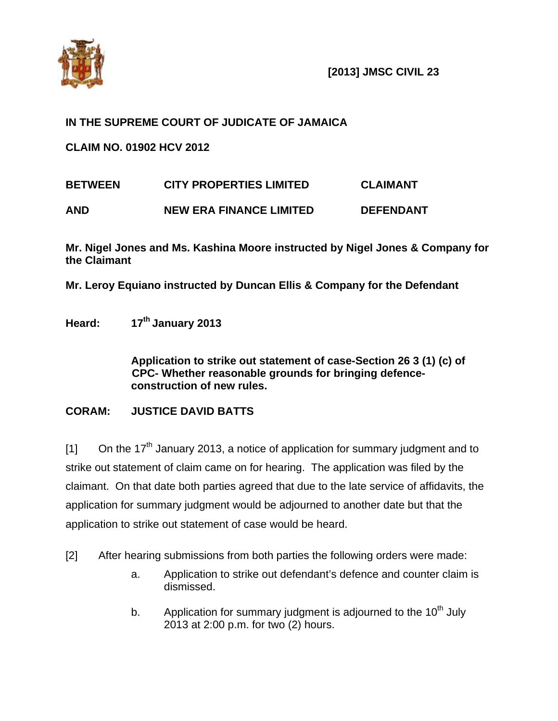

## **IN THE SUPREME COURT OF JUDICATE OF JAMAICA**

**CLAIM NO. 01902 HCV 2012** 

| <b>BETWEEN</b> | <b>CITY PROPERTIES LIMITED</b> | <b>CLAIMANT</b>  |
|----------------|--------------------------------|------------------|
| <b>AND</b>     | <b>NEW ERA FINANCE LIMITED</b> | <b>DEFENDANT</b> |

**Mr. Nigel Jones and Ms. Kashina Moore instructed by Nigel Jones & Company for the Claimant** 

**Mr. Leroy Equiano instructed by Duncan Ellis & Company for the Defendant** 

**Heard: 17th January 2013** 

**Application to strike out statement of case-Section 26 3 (1) (c) of CPC- Whether reasonable grounds for bringing defenceconstruction of new rules.** 

## **CORAM: JUSTICE DAVID BATTS**

 $[1]$  On the 17<sup>th</sup> January 2013, a notice of application for summary judgment and to strike out statement of claim came on for hearing. The application was filed by the claimant. On that date both parties agreed that due to the late service of affidavits, the application for summary judgment would be adjourned to another date but that the application to strike out statement of case would be heard.

- [2] After hearing submissions from both parties the following orders were made:
	- a. Application to strike out defendant's defence and counter claim is dismissed.
	- b. Application for summary judgment is adjourned to the  $10<sup>th</sup>$  July 2013 at 2:00 p.m. for two (2) hours.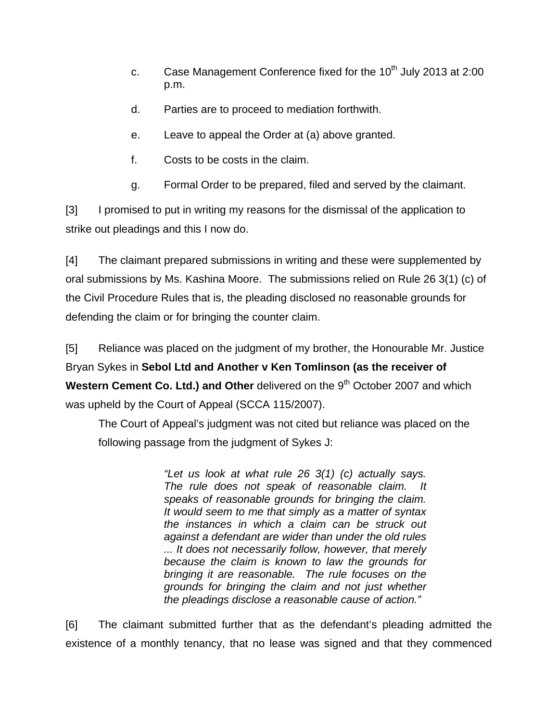- c. Case Management Conference fixed for the  $10<sup>th</sup>$  July 2013 at 2:00 p.m.
- d. Parties are to proceed to mediation forthwith.
- e. Leave to appeal the Order at (a) above granted.
- f. Costs to be costs in the claim.
- g. Formal Order to be prepared, filed and served by the claimant.

[3] I promised to put in writing my reasons for the dismissal of the application to strike out pleadings and this I now do.

[4] The claimant prepared submissions in writing and these were supplemented by oral submissions by Ms. Kashina Moore. The submissions relied on Rule 26 3(1) (c) of the Civil Procedure Rules that is, the pleading disclosed no reasonable grounds for defending the claim or for bringing the counter claim.

[5] Reliance was placed on the judgment of my brother, the Honourable Mr. Justice Bryan Sykes in **Sebol Ltd and Another v Ken Tomlinson (as the receiver of Western Cement Co. Ltd.) and Other** delivered on the 9<sup>th</sup> October 2007 and which was upheld by the Court of Appeal (SCCA 115/2007).

 The Court of Appeal's judgment was not cited but reliance was placed on the following passage from the judgment of Sykes J:

> *"Let us look at what rule 26 3(1) (c) actually says. The rule does not speak of reasonable claim. It speaks of reasonable grounds for bringing the claim. It would seem to me that simply as a matter of syntax the instances in which a claim can be struck out against a defendant are wider than under the old rules ... It does not necessarily follow, however, that merely because the claim is known to law the grounds for bringing it are reasonable. The rule focuses on the grounds for bringing the claim and not just whether the pleadings disclose a reasonable cause of action."*

[6] The claimant submitted further that as the defendant's pleading admitted the existence of a monthly tenancy, that no lease was signed and that they commenced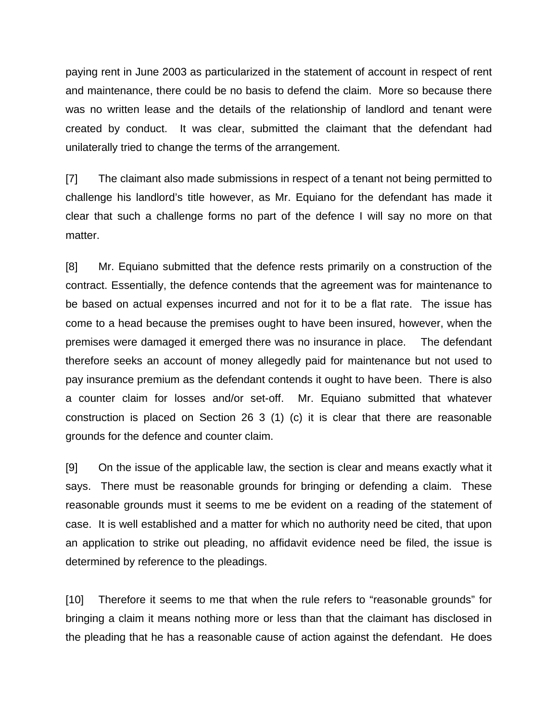paying rent in June 2003 as particularized in the statement of account in respect of rent and maintenance, there could be no basis to defend the claim. More so because there was no written lease and the details of the relationship of landlord and tenant were created by conduct. It was clear, submitted the claimant that the defendant had unilaterally tried to change the terms of the arrangement.

[7] The claimant also made submissions in respect of a tenant not being permitted to challenge his landlord's title however, as Mr. Equiano for the defendant has made it clear that such a challenge forms no part of the defence I will say no more on that matter.

[8] Mr. Equiano submitted that the defence rests primarily on a construction of the contract. Essentially, the defence contends that the agreement was for maintenance to be based on actual expenses incurred and not for it to be a flat rate. The issue has come to a head because the premises ought to have been insured, however, when the premises were damaged it emerged there was no insurance in place. The defendant therefore seeks an account of money allegedly paid for maintenance but not used to pay insurance premium as the defendant contends it ought to have been. There is also a counter claim for losses and/or set-off. Mr. Equiano submitted that whatever construction is placed on Section 26 3 (1) (c) it is clear that there are reasonable grounds for the defence and counter claim.

[9] On the issue of the applicable law, the section is clear and means exactly what it says. There must be reasonable grounds for bringing or defending a claim. These reasonable grounds must it seems to me be evident on a reading of the statement of case. It is well established and a matter for which no authority need be cited, that upon an application to strike out pleading, no affidavit evidence need be filed, the issue is determined by reference to the pleadings.

[10] Therefore it seems to me that when the rule refers to "reasonable grounds" for bringing a claim it means nothing more or less than that the claimant has disclosed in the pleading that he has a reasonable cause of action against the defendant. He does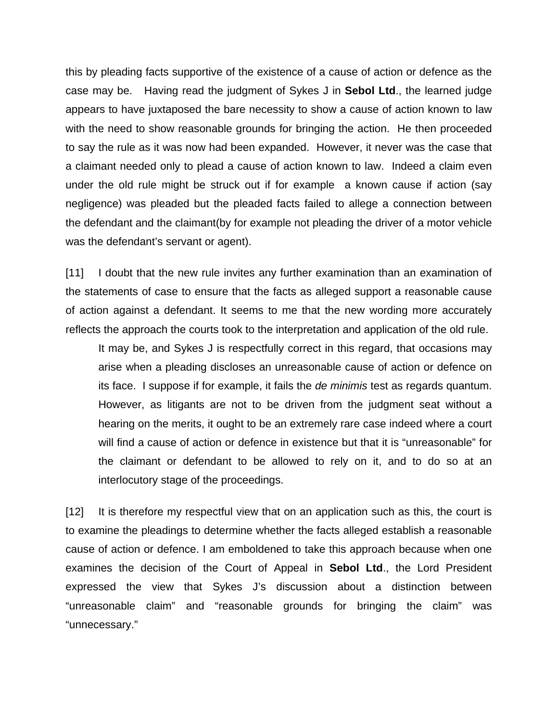this by pleading facts supportive of the existence of a cause of action or defence as the case may be. Having read the judgment of Sykes J in **Sebol Ltd**., the learned judge appears to have juxtaposed the bare necessity to show a cause of action known to law with the need to show reasonable grounds for bringing the action. He then proceeded to say the rule as it was now had been expanded. However, it never was the case that a claimant needed only to plead a cause of action known to law. Indeed a claim even under the old rule might be struck out if for example a known cause if action (say negligence) was pleaded but the pleaded facts failed to allege a connection between the defendant and the claimant(by for example not pleading the driver of a motor vehicle was the defendant's servant or agent).

[11] I doubt that the new rule invites any further examination than an examination of the statements of case to ensure that the facts as alleged support a reasonable cause of action against a defendant. It seems to me that the new wording more accurately reflects the approach the courts took to the interpretation and application of the old rule.

 It may be, and Sykes J is respectfully correct in this regard, that occasions may arise when a pleading discloses an unreasonable cause of action or defence on its face. I suppose if for example, it fails the *de minimis* test as regards quantum. However, as litigants are not to be driven from the judgment seat without a hearing on the merits, it ought to be an extremely rare case indeed where a court will find a cause of action or defence in existence but that it is "unreasonable" for the claimant or defendant to be allowed to rely on it, and to do so at an interlocutory stage of the proceedings.

[12] It is therefore my respectful view that on an application such as this, the court is to examine the pleadings to determine whether the facts alleged establish a reasonable cause of action or defence. I am emboldened to take this approach because when one examines the decision of the Court of Appeal in **Sebol Ltd**., the Lord President expressed the view that Sykes J's discussion about a distinction between "unreasonable claim" and "reasonable grounds for bringing the claim" was "unnecessary."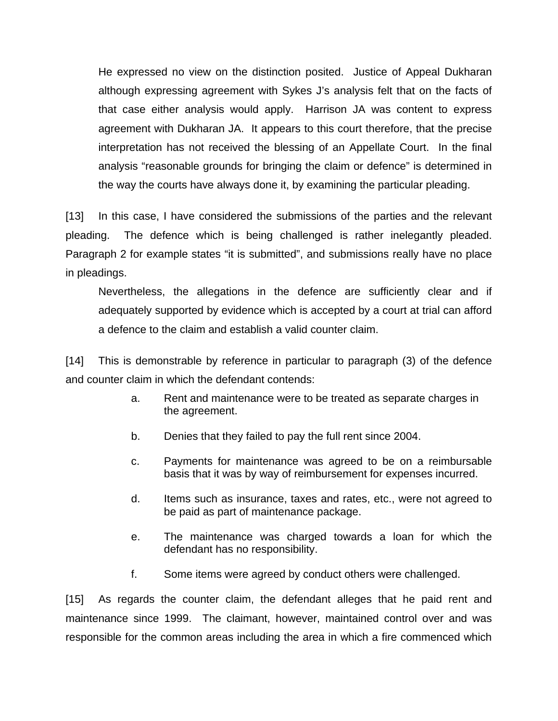He expressed no view on the distinction posited. Justice of Appeal Dukharan although expressing agreement with Sykes J's analysis felt that on the facts of that case either analysis would apply. Harrison JA was content to express agreement with Dukharan JA. It appears to this court therefore, that the precise interpretation has not received the blessing of an Appellate Court. In the final analysis "reasonable grounds for bringing the claim or defence" is determined in the way the courts have always done it, by examining the particular pleading.

[13] In this case, I have considered the submissions of the parties and the relevant pleading. The defence which is being challenged is rather inelegantly pleaded. Paragraph 2 for example states "it is submitted", and submissions really have no place in pleadings.

 Nevertheless, the allegations in the defence are sufficiently clear and if adequately supported by evidence which is accepted by a court at trial can afford a defence to the claim and establish a valid counter claim.

[14] This is demonstrable by reference in particular to paragraph (3) of the defence and counter claim in which the defendant contends:

- a. Rent and maintenance were to be treated as separate charges in the agreement.
- b. Denies that they failed to pay the full rent since 2004.
- c. Payments for maintenance was agreed to be on a reimbursable basis that it was by way of reimbursement for expenses incurred.
- d. Items such as insurance, taxes and rates, etc., were not agreed to be paid as part of maintenance package.
- e. The maintenance was charged towards a loan for which the defendant has no responsibility.
- f. Some items were agreed by conduct others were challenged.

[15] As regards the counter claim, the defendant alleges that he paid rent and maintenance since 1999. The claimant, however, maintained control over and was responsible for the common areas including the area in which a fire commenced which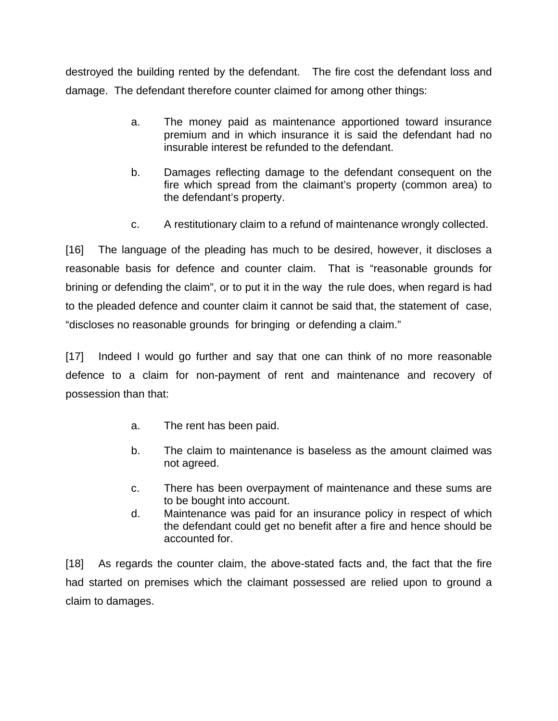destroyed the building rented by the defendant. The fire cost the defendant loss and damage. The defendant therefore counter claimed for among other things:

- a. The money paid as maintenance apportioned toward insurance premium and in which insurance it is said the defendant had no insurable interest be refunded to the defendant.
- b. Damages reflecting damage to the defendant consequent on the fire which spread from the claimant's property (common area) to the defendant's property.
- c. A restitutionary claim to a refund of maintenance wrongly collected.

[16] The language of the pleading has much to be desired, however, it discloses a reasonable basis for defence and counter claim. That is "reasonable grounds for brining or defending the claim", or to put it in the way the rule does, when regard is had to the pleaded defence and counter claim it cannot be said that, the statement of case, "discloses no reasonable grounds for bringing or defending a claim."

[17] Indeed I would go further and say that one can think of no more reasonable defence to a claim for non-payment of rent and maintenance and recovery of possession than that:

- a. The rent has been paid.
- b. The claim to maintenance is baseless as the amount claimed was not agreed.
- c. There has been overpayment of maintenance and these sums are to be bought into account.
- d. Maintenance was paid for an insurance policy in respect of which the defendant could get no benefit after a fire and hence should be accounted for.

[18] As regards the counter claim, the above-stated facts and, the fact that the fire had started on premises which the claimant possessed are relied upon to ground a claim to damages.